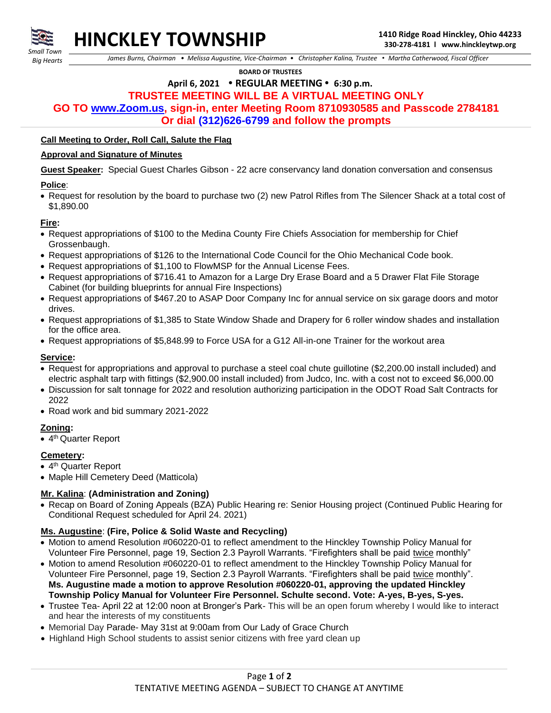

*Small Town Big Hearts*

 *James Burns, Chairman • Melissa Augustine, Vice-Chairman • Christopher Kalina, Trustee • Martha Catherwood, Fiscal Officer*

 **BOARD OF TRUSTEES**

# **April 6, 2021 • REGULAR MEETING • 6:30 p.m.**

## **TRUSTEE MEETING WILL BE A VIRTUAL MEETING ONLY**

**GO TO [www.Zoom.us,](http://www.zoom.us/) sign-in, enter Meeting Room 8710930585 and Passcode 2784181**

**Or dial (312)626-6799 and follow the prompts**

#### **Call Meeting to Order, Roll Call, Salute the Flag**

#### **Approval and Signature of Minutes**

**Guest Speaker:** Special Guest Charles Gibson - 22 acre conservancy land donation conversation and consensus

#### **Police**:

• Request for resolution by the board to purchase two (2) new Patrol Rifles from The Silencer Shack at a total cost of \$1,890.00

#### **Fire:**

- Request appropriations of \$100 to the Medina County Fire Chiefs Association for membership for Chief Grossenbaugh.
- Request appropriations of \$126 to the International Code Council for the Ohio Mechanical Code book.
- Request appropriations of \$1,100 to FlowMSP for the Annual License Fees.
- Request appropriations of \$716.41 to Amazon for a Large Dry Erase Board and a 5 Drawer Flat File Storage Cabinet (for building blueprints for annual Fire Inspections)
- Request appropriations of \$467.20 to ASAP Door Company Inc for annual service on six garage doors and motor drives.
- Request appropriations of \$1,385 to State Window Shade and Drapery for 6 roller window shades and installation for the office area.
- Request appropriations of \$5,848.99 to Force USA for a G12 All-in-one Trainer for the workout area

#### **Service:**

- Request for appropriations and approval to purchase a steel coal chute guillotine (\$2,200.00 install included) and electric asphalt tarp with fittings (\$2,900.00 install included) from Judco, Inc. with a cost not to exceed \$6,000.00
- Discussion for salt tonnage for 2022 and resolution authorizing participation in the ODOT Road Salt Contracts for 2022
- Road work and bid summary 2021-2022

## **Zoning:**

• 4<sup>th</sup> Quarter Report

## **Cemetery:**

- 4<sup>th</sup> Quarter Report
- Maple Hill Cemetery Deed (Matticola)

## **Mr. Kalina**: **(Administration and Zoning)**

• Recap on Board of Zoning Appeals (BZA) Public Hearing re: Senior Housing project (Continued Public Hearing for Conditional Request scheduled for April 24. 2021)

## **Ms. Augustine**: **(Fire, Police & Solid Waste and Recycling)**

- Motion to amend Resolution #060220-01 to reflect amendment to the Hinckley Township Policy Manual for Volunteer Fire Personnel, page 19, Section 2.3 Payroll Warrants. "Firefighters shall be paid twice monthly"
- Motion to amend Resolution #060220-01 to reflect amendment to the Hinckley Township Policy Manual for Volunteer Fire Personnel, page 19, Section 2.3 Payroll Warrants. "Firefighters shall be paid twice monthly". **Ms. Augustine made a motion to approve Resolution #060220-01, approving the updated Hinckley Township Policy Manual for Volunteer Fire Personnel. Schulte second. Vote: A-yes, B-yes, S-yes.**
- Trustee Tea- April 22 at 12:00 noon at Bronger's Park- This will be an open forum whereby I would like to interact and hear the interests of my constituents
- Memorial Day Parade- May 31st at 9:00am from Our Lady of Grace Church
- Highland High School students to assist senior citizens with free yard clean up